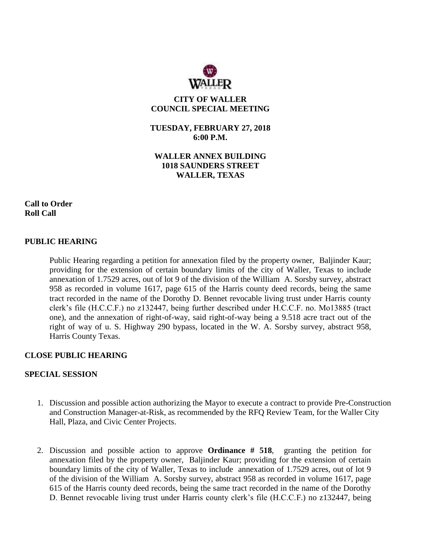

**CITY OF WALLER COUNCIL SPECIAL MEETING**

**TUESDAY, FEBRUARY 27, 2018 6:00 P.M.**

**WALLER ANNEX BUILDING 1018 SAUNDERS STREET WALLER, TEXAS**

**Call to Order Roll Call**

## **PUBLIC HEARING**

Public Hearing regarding a petition for annexation filed by the property owner, Baljinder Kaur; providing for the extension of certain boundary limits of the city of Waller, Texas to include annexation of 1.7529 acres, out of lot 9 of the division of the William A. Sorsby survey, abstract 958 as recorded in volume 1617, page 615 of the Harris county deed records, being the same tract recorded in the name of the Dorothy D. Bennet revocable living trust under Harris county clerk's file (H.C.C.F.) no z132447, being further described under H.C.C.F. no. Mo13885 (tract one), and the annexation of right-of-way, said right-of-way being a 9.518 acre tract out of the right of way of u. S. Highway 290 bypass, located in the W. A. Sorsby survey, abstract 958, Harris County Texas.

## **CLOSE PUBLIC HEARING**

## **SPECIAL SESSION**

- 1. Discussion and possible action authorizing the Mayor to execute a contract to provide Pre-Construction and Construction Manager-at-Risk, as recommended by the RFQ Review Team, for the Waller City Hall, Plaza, and Civic Center Projects.
- 2. Discussion and possible action to approve **Ordinance # 518**, granting the petition for annexation filed by the property owner, Baljinder Kaur; providing for the extension of certain boundary limits of the city of Waller, Texas to include annexation of 1.7529 acres, out of lot 9 of the division of the William A. Sorsby survey, abstract 958 as recorded in volume 1617, page 615 of the Harris county deed records, being the same tract recorded in the name of the Dorothy D. Bennet revocable living trust under Harris county clerk's file (H.C.C.F.) no z132447, being